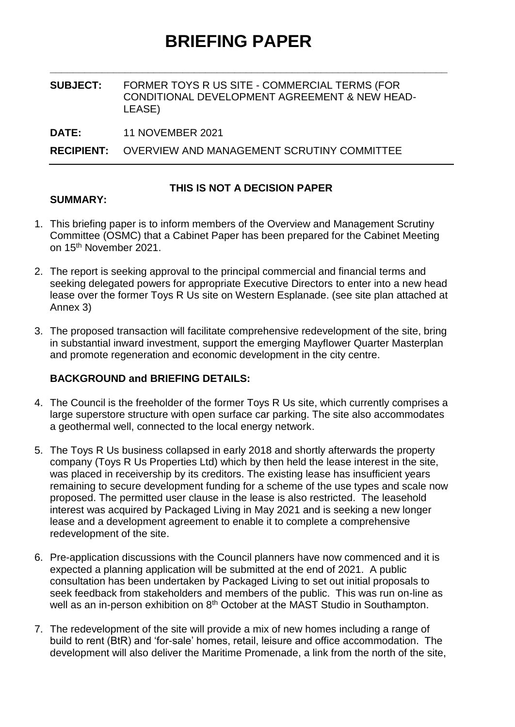**\_\_\_\_\_\_\_\_\_\_\_\_\_\_\_\_\_\_\_\_\_\_\_\_\_\_\_\_\_\_\_\_\_\_\_\_\_\_\_\_\_\_\_\_\_\_\_\_\_\_\_\_\_\_\_\_\_\_\_\_\_\_\_\_\_\_\_\_\_**

#### **SUBJECT:** FORMER TOYS R US SITE - COMMERCIAL TERMS (FOR CONDITIONAL DEVELOPMENT AGREEMENT & NEW HEAD-LEASE)

**DATE:** 11 NOVEMBER 2021

**RECIPIENT:** OVERVIEW AND MANAGEMENT SCRUTINY COMMITTEE

# **THIS IS NOT A DECISION PAPER**

## **SUMMARY:**

- 1. This briefing paper is to inform members of the Overview and Management Scrutiny Committee (OSMC) that a Cabinet Paper has been prepared for the Cabinet Meeting on 15<sup>th</sup> November 2021.
- 2. The report is seeking approval to the principal commercial and financial terms and seeking delegated powers for appropriate Executive Directors to enter into a new head lease over the former Toys R Us site on Western Esplanade. (see site plan attached at Annex 3)
- 3. The proposed transaction will facilitate comprehensive redevelopment of the site, bring in substantial inward investment, support the emerging Mayflower Quarter Masterplan and promote regeneration and economic development in the city centre.

# **BACKGROUND and BRIEFING DETAILS:**

- 4. The Council is the freeholder of the former Toys R Us site, which currently comprises a large superstore structure with open surface car parking. The site also accommodates a geothermal well, connected to the local energy network.
- 5. The Toys R Us business collapsed in early 2018 and shortly afterwards the property company (Toys R Us Properties Ltd) which by then held the lease interest in the site, was placed in receivership by its creditors. The existing lease has insufficient years remaining to secure development funding for a scheme of the use types and scale now proposed. The permitted user clause in the lease is also restricted. The leasehold interest was acquired by Packaged Living in May 2021 and is seeking a new longer lease and a development agreement to enable it to complete a comprehensive redevelopment of the site.
- 6. Pre-application discussions with the Council planners have now commenced and it is expected a planning application will be submitted at the end of 2021. A public consultation has been undertaken by Packaged Living to set out initial proposals to seek feedback from stakeholders and members of the public. This was run on-line as well as an in-person exhibition on 8<sup>th</sup> October at the MAST Studio in Southampton.
- 7. The redevelopment of the site will provide a mix of new homes including a range of build to rent (BtR) and 'for-sale' homes, retail, leisure and office accommodation. The development will also deliver the Maritime Promenade, a link from the north of the site,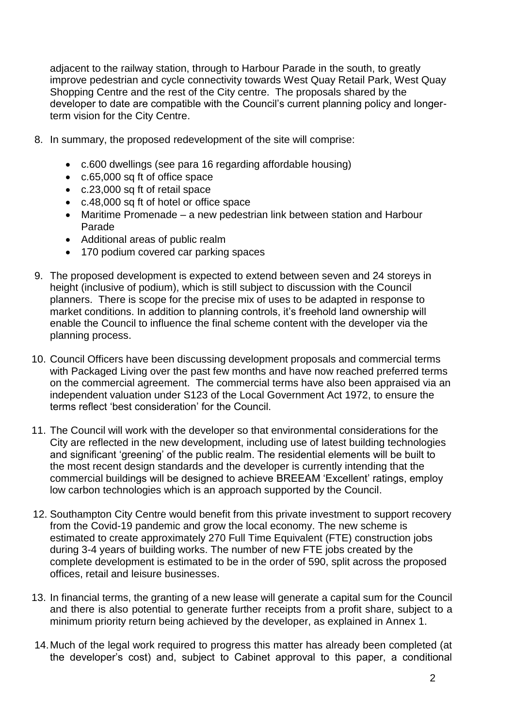adjacent to the railway station, through to Harbour Parade in the south, to greatly improve pedestrian and cycle connectivity towards West Quay Retail Park, West Quay Shopping Centre and the rest of the City centre. The proposals shared by the developer to date are compatible with the Council's current planning policy and longerterm vision for the City Centre.

- 8. In summary, the proposed redevelopment of the site will comprise:
	- c.600 dwellings (see para 16 regarding affordable housing)
	- c.65,000 sq ft of office space
	- c.23,000 sq ft of retail space
	- c.48,000 sq ft of hotel or office space
	- Maritime Promenade a new pedestrian link between station and Harbour Parade
	- Additional areas of public realm
	- 170 podium covered car parking spaces
- 9. The proposed development is expected to extend between seven and 24 storeys in height (inclusive of podium), which is still subject to discussion with the Council planners. There is scope for the precise mix of uses to be adapted in response to market conditions. In addition to planning controls, it's freehold land ownership will enable the Council to influence the final scheme content with the developer via the planning process.
- 10. Council Officers have been discussing development proposals and commercial terms with Packaged Living over the past few months and have now reached preferred terms on the commercial agreement. The commercial terms have also been appraised via an independent valuation under S123 of the Local Government Act 1972, to ensure the terms reflect 'best consideration' for the Council.
- 11. The Council will work with the developer so that environmental considerations for the City are reflected in the new development, including use of latest building technologies and significant 'greening' of the public realm. The residential elements will be built to the most recent design standards and the developer is currently intending that the commercial buildings will be designed to achieve BREEAM 'Excellent' ratings, employ low carbon technologies which is an approach supported by the Council.
- 12. Southampton City Centre would benefit from this private investment to support recovery from the Covid-19 pandemic and grow the local economy. The new scheme is estimated to create approximately 270 Full Time Equivalent (FTE) construction jobs during 3-4 years of building works. The number of new FTE jobs created by the complete development is estimated to be in the order of 590, split across the proposed offices, retail and leisure businesses.
- 13. In financial terms, the granting of a new lease will generate a capital sum for the Council and there is also potential to generate further receipts from a profit share, subject to a minimum priority return being achieved by the developer, as explained in Annex 1.
- 14.Much of the legal work required to progress this matter has already been completed (at the developer's cost) and, subject to Cabinet approval to this paper, a conditional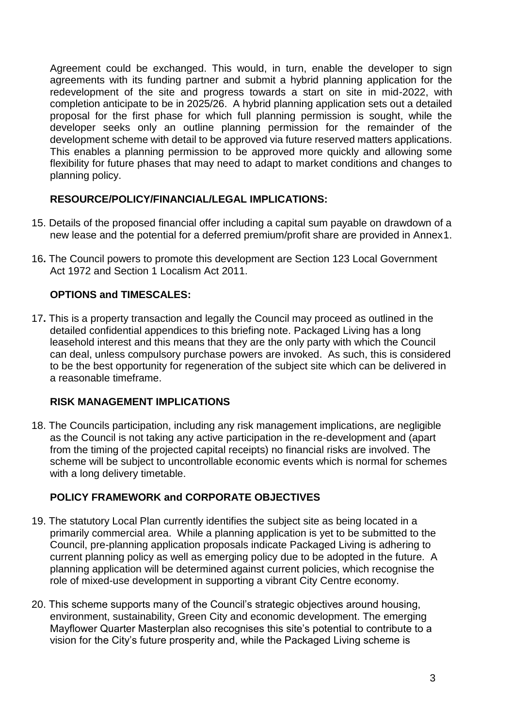Agreement could be exchanged. This would, in turn, enable the developer to sign agreements with its funding partner and submit a hybrid planning application for the redevelopment of the site and progress towards a start on site in mid-2022, with completion anticipate to be in 2025/26. A hybrid planning application sets out a detailed proposal for the first phase for which full planning permission is sought, while the developer seeks only an outline planning permission for the remainder of the development scheme with detail to be approved via future reserved matters applications. This enables a planning permission to be approved more quickly and allowing some flexibility for future phases that may need to adapt to market conditions and changes to planning policy.

## **RESOURCE/POLICY/FINANCIAL/LEGAL IMPLICATIONS:**

- 15. Details of the proposed financial offer including a capital sum payable on drawdown of a new lease and the potential for a deferred premium/profit share are provided in Annex1.
- 16**.** The Council powers to promote this development are Section 123 Local Government Act 1972 and Section 1 Localism Act 2011.

## **OPTIONS and TIMESCALES:**

17**.** This is a property transaction and legally the Council may proceed as outlined in the detailed confidential appendices to this briefing note. Packaged Living has a long leasehold interest and this means that they are the only party with which the Council can deal, unless compulsory purchase powers are invoked. As such, this is considered to be the best opportunity for regeneration of the subject site which can be delivered in a reasonable timeframe.

#### **RISK MANAGEMENT IMPLICATIONS**

18. The Councils participation, including any risk management implications, are negligible as the Council is not taking any active participation in the re-development and (apart from the timing of the projected capital receipts) no financial risks are involved. The scheme will be subject to uncontrollable economic events which is normal for schemes with a long delivery timetable.

# **POLICY FRAMEWORK and CORPORATE OBJECTIVES**

- 19. The statutory Local Plan currently identifies the subject site as being located in a primarily commercial area. While a planning application is yet to be submitted to the Council, pre-planning application proposals indicate Packaged Living is adhering to current planning policy as well as emerging policy due to be adopted in the future. A planning application will be determined against current policies, which recognise the role of mixed-use development in supporting a vibrant City Centre economy.
- 20. This scheme supports many of the Council's strategic objectives around housing, environment, sustainability, Green City and economic development. The emerging Mayflower Quarter Masterplan also recognises this site's potential to contribute to a vision for the City's future prosperity and, while the Packaged Living scheme is